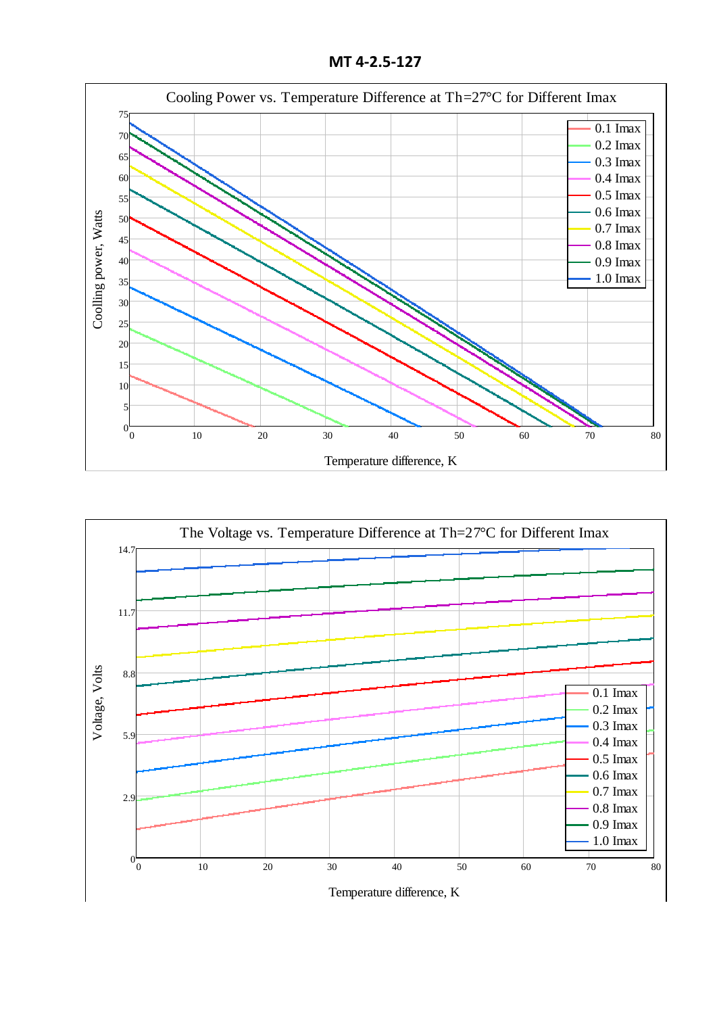**MT 4-2.5-127**